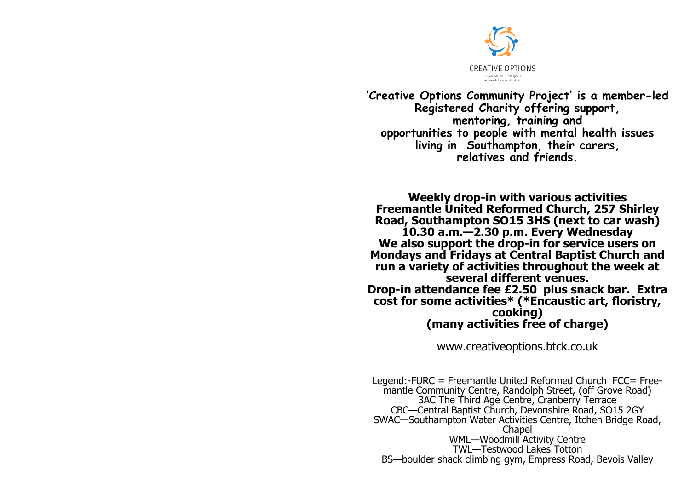

**'Creative Options Community Project' is a member-led Registered Charity offering support, mentoring, training and opportunities to people with mental health issues living in Southampton, their carers, relatives and friends.**

**Weekly drop-in with various activities Freemantle United Reformed Church, 257 Shirley Road, Southampton SO15 3HS (next to car wash) 10.30 a.m.—2.30 p.m. Every Wednesday We also support the drop-in for service users on Mondays and Fridays at Central Baptist Church and run a variety of activities throughout the week at several different venues. Drop-in attendance fee £2.50 plus snack bar. Extra cost for some activities\* (\*Encaustic art, floristry, cooking) (many activities free of charge)**

www.creativeoptions.btck.co.uk

Legend:-FURC = Freemantle United Reformed Church FCC= Freemantle Community Centre, Randolph Street, (off Grove Road) 3AC The Third Age Centre, Cranberry Terrace CBC—Central Baptist Church, Devonshire Road, SO15 2GY SWAC—Southampton Water Activities Centre, Itchen Bridge Road, **Chapel** WML—Woodmill Activity Centre TWL—Testwood Lakes Totton BS—boulder shack climbing gym, Empress Road, Bevois Valley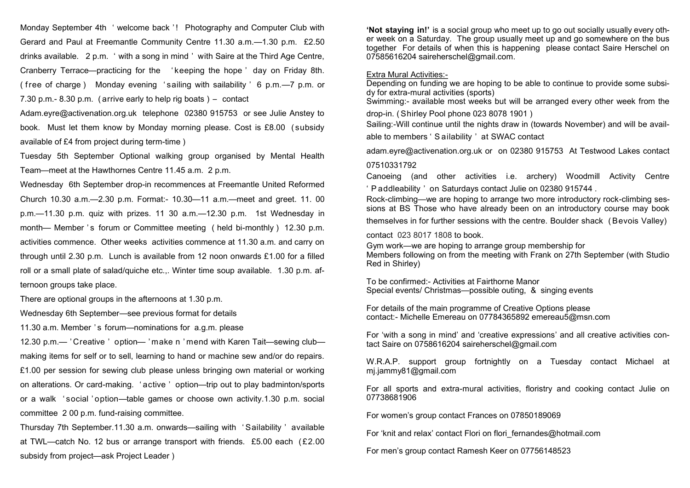Monday September 4th ' welcome back '! Photography and Computer Club with Gerard and Paul at Freemantle Community Centre 11.30 a.m.—1.30 p.m. £2.50 drinks available. 2 p.m. ' with a song in mind ' with Saire at the Third Age Centre, Cranberry Terrace—practicing for the ' keeping the hope ' day on Friday 8th. ( f ree of charge ) Monday evening ' sailing with sailability ' 6 p.m.—7 p.m. or 7.30 p.m.- 8.30 p.m. ( arrive early to help rig boats ) – contact

Adam.eyre@activenation.org.uk telephone 02380 915753 or see Julie Anstey to book. Must let them know by Monday morning please. Cost is £8.00 ( subsidy available of £4 from project during term-time )

Tuesday 5th September Optional walking group organised by Mental Health Team—meet at the Hawthornes Centre 11.45 a.m. 2 p.m.

Wednesday 6th September drop-in recommences at Freemantle United Reformed Church 10.30 a.m.—2.30 p.m. Format:- 10.30—11 a.m.—meet and greet. 11. 00 p.m.—11.30 p.m. quiz with prizes. 11 30 a.m.—12.30 p.m. 1st Wednesday in month— Member 's forum or Committee meeting (held bi-monthly) 12.30 p.m. activities commence. Other weeks activities commence at 11.30 a.m. and carry on through until 2.30 p.m. Lunch is available from 12 noon onwards £1.00 for a filled roll or a small plate of salad/quiche etc.,. Winter time soup available. 1.30 p.m. afternoon groups take place.

There are optional groups in the afternoons at 1.30 p.m.

Wednesday 6th September—see previous format for details

11.30 a.m. Member 's forum—nominations for a.g.m. please

12.30 p.m.— ' Creative ' option— ' make n ' mend with Karen Tait—sewing club making items for self or to sell, learning to hand or machine sew and/or do repairs. £1.00 per session for sewing club please unless bringing own material or working on alterations. Or card-making. ' active ' option—trip out to play badminton/sports or a walk ' social ' option—table games or choose own activity.1.30 p.m. social committee 2 00 p.m. fund-raising committee.

Thursday 7th September.11.30 a.m. onwards—sailing with ' Sailability ' available at TWL—catch No. 12 bus or arrange transport with friends. £5.00 each ( £2.00 subsidy from project—ask Project Leader )

**'Not staying in!'** is a social group who meet up to go out socially usually every other week on a Saturday. The group usually meet up and go somewhere on the bus together For details of when this is happening please contact Saire Herschel on 07585616204 saireherschel@gmail.com.

## Extra Mural Activities:-

Depending on funding we are hoping to be able to continue to provide some subsidy for extra-mural activities (sports)

Swimming:- available most weeks but will be arranged every other week from the drop-in. ( Shirley Pool phone 023 8078 1901 )

Sailing:-Will continue until the nights draw in (towards November) and will be available to members ' S ailability ' at SWAC contact

adam.eyre@activenation.org.uk or on 02380 915753 At Testwood Lakes contact 07510331792

Canoeing (and other activities i.e. archery) Woodmill Activity Centre ' P addleability ' on Saturdays contact Julie on 02380 915744 .

Rock-climbing—we are hoping to arrange two more introductory rock-climbing sessions at BS Those who have already been on an introductory course may book

themselves in for further sessions with the centre. Boulder shack ( Bevois Valley)

contact 023 8017 1808 to book.

Gym work—we are hoping to arrange group membership for Members following on from the meeting with Frank on 27th September (with Studio Red in Shirley)

To be confirmed:- Activities at Fairthorne Manor Special events/ Christmas—possible outing, & singing events

For details of the main programme of Creative Options please contact:- Michelle Emereau on 07784365892 emereau5@msn.com

For 'with a song in mind' and 'creative expressions' and all creative activities contact Saire on 0758616204 saireherschel@gmail.com

W.R.A.P. support group fortnightly on a Tuesday contact Michael at mj.jammy81@gmail.com

For all sports and extra-mural activities, floristry and cooking contact Julie on 07738681906

For women's group contact Frances on 07850189069

For 'knit and relax' contact Flori on flori fernandes@hotmail.com

For men's group contact Ramesh Keer on 07756148523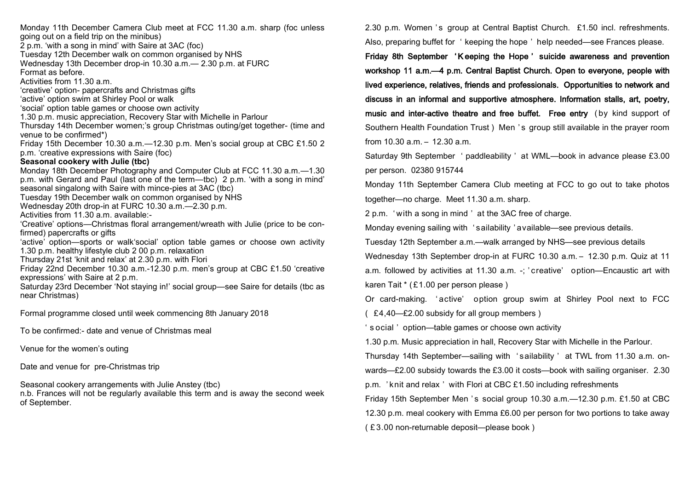Monday 11th December Camera Club meet at FCC 11.30 a.m. sharp (foc unless going out on a field trip on the minibus) 2 p.m. 'with a song in mind' with Saire at 3AC (foc) Tuesday 12th December walk on common organised by NHS Wednesday 13th December drop-in 10.30 a.m.— 2.30 p.m. at FURC Format as before. Activities from 11.30 a.m. 'creative' option- papercrafts and Christmas gifts 'active' option swim at Shirley Pool or walk 'social' option table games or choose own activity 1.30 p.m. music appreciation, Recovery Star with Michelle in Parlour Thursday 14th December women;'s group Christmas outing/get together- (time and venue to be confirmed\*) Friday 15th December 10.30 a.m.—12.30 p.m. Men's social group at CBC £1.50 2 p.m. 'creative expressions with Saire (foc) **Seasonal cookery with Julie (tbc)** Monday 18th December Photography and Computer Club at FCC 11.30 a.m.—1.30 p.m. with Gerard and Paul (last one of the term—tbc) 2 p.m. 'with a song in mind' seasonal singalong with Saire with mince-pies at 3AC (tbc) Tuesday 19th December walk on common organised by NHS Wednesday 20th drop-in at FURC 10.30 a.m.—2.30 p.m. Activities from 11.30 a.m. available:- 'Creative' options—Christmas floral arrangement/wreath with Julie (price to be confirmed) papercrafts or gifts 'active' option—sports or walk'social' option table games or choose own activity 1.30 p.m. healthy lifestyle club 2 00 p.m. relaxation Thursday 21st 'knit and relax' at 2.30 p.m. with Flori Friday 22nd December 10.30 a.m.-12.30 p.m. men's group at CBC £1.50 'creative expressions' with Saire at 2 p.m. Saturday 23rd December 'Not staying in!' social group—see Saire for details (tbc as near Christmas) Formal programme closed until week commencing 8th January 2018 To be confirmed:- date and venue of Christmas meal Venue for the women's outing

Date and venue for pre-Christmas trip

Seasonal cookery arrangements with Julie Anstey (tbc)

n.b. Frances will not be regularly available this term and is away the second week of September.

2.30 p.m. Women 's group at Central Baptist Church. £1.50 incl. refreshments. Also, preparing buffet for ' keeping the hope ' help needed—see Frances please.

Friday 8th September 'K eeping the Hope ' suicide awareness and prevention workshop 11 a.m.—4 p.m. Central Baptist Church. Open to everyone, people with lived experience, relatives, friends and professionals. Opportunities to network and discuss in an informal and supportive atmosphere. Information stalls, art, poetry, music and inter-active theatre and free buffet. Free entry ( by kind support of Southern Health Foundation Trust ) Men ' s group still available in the prayer room from 10.30 a.m. – 12.30 a.m.

Saturday 9th September ' paddleability ' at WML—book in advance please £3.00 per person. 02380 915744

Monday 11th September Camera Club meeting at FCC to go out to take photos together—no charge. Meet 11.30 a.m. sharp.

2 p.m. ' with a song in mind ' at the 3AC free of charge.

Monday evening sailing with ' sailability ' available—see previous details.

Tuesday 12th September a.m.—walk arranged by NHS—see previous details

Wednesday 13th September drop-in at FURC 10.30 a.m. – 12.30 p.m. Quiz at 11

a.m. followed by activities at 11.30 a.m. -; ' creative' option—Encaustic art with karen Tait \* ( £1.00 per person please )

Or card-making. ' active' option group swim at Shirley Pool next to FCC ( £4,40—£2.00 subsidy for all group members )

' s ocial ' option—table games or choose own activity

1.30 p.m. Music appreciation in hall, Recovery Star with Michelle in the Parlour.

Thursday 14th September—sailing with ' sailability ' at TWL from 11.30 a.m. on-

wards—£2.00 subsidy towards the £3.00 it costs—book with sailing organiser. 2.30

p.m. ' knit and relax ' with Flori at CBC £1.50 including refreshments

Friday 15th September Men 's social group 10.30 a.m. - 12.30 p.m. £1.50 at CBC

12.30 p.m. meal cookery with Emma £6.00 per person for two portions to take away

( £ 3.00 non-returnable deposit—please book )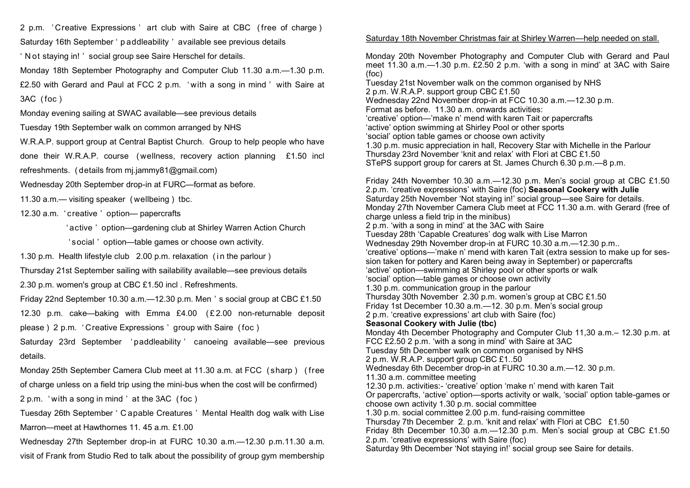2 p.m. ' Creative Expressions ' art club with Saire at CBC ( free of charge )

Saturday 16th September ' p addleability ' available see previous details

' N ot staying in! ' social group see Saire Herschel for details.

Monday 18th September Photography and Computer Club 11.30 a.m.—1.30 p.m. £2.50 with Gerard and Paul at FCC 2 p.m. ' with a song in mind ' with Saire at 3AC ( foc )

Monday evening sailing at SWAC available—see previous details

Tuesday 19th September walk on common arranged by NHS

W.R.A.P. support group at Central Baptist Church. Group to help people who have done their W.R.A.P. course ( wellness, recovery action planning £1.50 incl refreshments. ( details from mj.jammy81@gmail.com)

Wednesday 20th September drop-in at FURC—format as before.

11.30 a.m.— visiting speaker ( wellbeing ) tbc.

12.30 a.m. ' creative ' option— papercrafts

' active ' option—gardening club at Shirley Warren Action Church

' social ' option—table games or choose own activity.

1.30 p.m. Health lifestyle club 2.00 p.m. relaxation (in the parlour)

Thursday 21st September sailing with sailability available—see previous details

2.30 p.m. women's group at CBC £1.50 incl . Refreshments.

Friday 22nd September 10.30 a.m.—12.30 p.m. Men ' s social group at CBC £1.50

12.30 p.m. cake—baking with Emma £4.00 (£2.00 non-returnable deposit

please ) 2 p.m. ' Creative Expressions ' group with Saire ( foc )

Saturday 23rd September ' paddleability ' canoeing available—see previous details.

Monday 25th September Camera Club meet at 11.30 a.m. at FCC ( sharp ) ( free of charge unless on a field trip using the mini-bus when the cost will be confirmed) 2 p.m. ' with a song in mind ' at the 3AC ( foc )

Tuesday 26th September ' C apable Creatures ' Mental Health dog walk with Lise Marron—meet at Hawthornes 11. 45 a.m. £1.00

Wednesday 27th September drop-in at FURC 10.30 a.m.—12.30 p.m.11.30 a.m. visit of Frank from Studio Red to talk about the possibility of group gym membership

## Saturday 18th November Christmas fair at Shirley Warren—help needed on stall.

Monday 20th November Photography and Computer Club with Gerard and Paul meet 11.30 a.m.—1.30 p.m. £2.50 2 p.m. 'with a song in mind' at 3AC with Saire (foc) Tuesday 21st November walk on the common organised by NHS 2 p.m. W.R.A.P. support group CBC £1.50 Wednesday 22nd November drop-in at FCC 10.30 a.m.—12.30 p.m. Format as before. 11.30 a.m. onwards activities: 'creative' option—'make n' mend with karen Tait or papercrafts 'active' option swimming at Shirley Pool or other sports 'social' option table games or choose own activity 1.30 p.m. music appreciation in hall, Recovery Star with Michelle in the Parlour Thursday 23rd November 'knit and relax' with Flori at CBC £1.50 STePS support group for carers at St. James Church 6.30 p.m.—8 p.m. Friday 24th November 10.30 a.m.—12.30 p.m. Men's social group at CBC £1.50 2.p.m. 'creative expressions' with Saire (foc) **Seasonal Cookery with Julie**  Saturday 25th November 'Not staying in!' social group—see Saire for details. Monday 27th November Camera Club meet at FCC 11.30 a.m. with Gerard (free of charge unless a field trip in the minibus) 2 p.m. 'with a song in mind' at the 3AC with Saire Tuesday 28th 'Capable Creatures' dog walk with Lise Marron Wednesday 29th November drop-in at FURC 10.30 a.m.—12.30 p.m.. 'creative' options—'make n' mend with karen Tait (extra session to make up for session taken for pottery and Karen being away in September) or papercrafts 'active' option—swimming at Shirley pool or other sports or walk 'social' option—table games or choose own activity 1.30 p.m. communication group in the parlour Thursday 30th November 2.30 p.m. women's group at CBC £1.50 Friday 1st December 10.30 a.m.—12. 30 p.m. Men's social group 2 p.m. 'creative expressions' art club with Saire (foc) **Seasonal Cookery with Julie (tbc)** Monday 4th December Photography and Computer Club 11,30 a.m.– 12.30 p.m. at FCC £2.50 2 p.m. 'with a song in mind' with Saire at 3AC Tuesday 5th December walk on common organised by NHS 2 p.m. W.R.A.P. support group CBC £1..50 Wednesday 6th December drop-in at FURC 10.30 a.m.—12. 30 p.m. 11.30 a.m. committee meeting 12.30 p.m. activities:- 'creative' option 'make n' mend with karen Tait Or papercrafts, 'active' option—sports activity or walk, 'social' option table-games or choose own activity 1.30 p.m. social committee 1.30 p.m. social committee 2.00 p.m. fund-raising committee Thursday 7th December 2. p.m. 'knit and relax' with Flori at CBC £1.50 Friday 8th December 10.30 a.m.—12.30 p.m. Men's social group at CBC £1.50 2.p.m. 'creative expressions' with Saire (foc) Saturday 9th December 'Not staying in!' social group see Saire for details.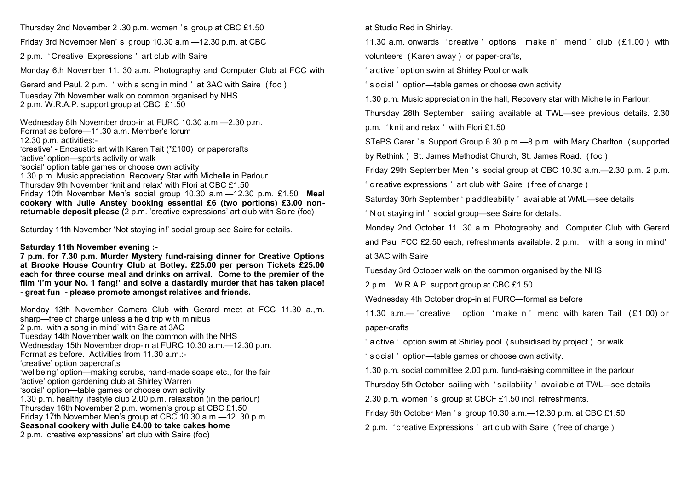Thursday 2nd November 2 .30 p.m. women ' s group at CBC £1.50

Friday 3rd November Men' s group 10.30 a.m.—12.30 p.m. at CBC

2 p.m. ' Creative Expressions ' art club with Saire

Monday 6th November 11. 30 a.m. Photography and Computer Club at FCC with

Gerard and Paul. 2 p.m. ' with a song in mind ' at 3AC with Saire ( foc ) Tuesday 7th November walk on common organised by NHS 2 p.m. W.R.A.P. support group at CBC £1.50

Wednesday 8th November drop-in at FURC 10.30 a.m.—2.30 p.m. Format as before—11.30 a.m. Member's forum 12.30 p.m. activities:- 'creative' - Encaustic art with Karen Tait (\*£100) or papercrafts 'active' option—sports activity or walk 'social' option table games or choose own activity 1.30 p.m. Music appreciation, Recovery Star with Michelle in Parlour Thursday 9th November 'knit and relax' with Flori at CBC £1.50 Friday 10th November Men's social group 10.30 a.m.—12.30 p.m. £1.50 **Meal cookery with Julie Anstey booking essential £6 (two portions) £3.00 nonreturnable deposit please (**2 p.m. 'creative expressions' art club with Saire (foc)

Saturday 11th November 'Not staying in!' social group see Saire for details.

## **Saturday 11th November evening :-**

**7 p.m. for 7.30 p.m. Murder Mystery fund-raising dinner for Creative Options at Brooke House Country Club at Botley. £25.00 per person Tickets £25.00 each for three course meal and drinks on arrival. Come to the premier of the film 'I'm your No. 1 fang!' and solve a dastardly murder that has taken place! - great fun - please promote amongst relatives and friends.** 

Monday 13th November Camera Club with Gerard meet at FCC 11.30 a.,m. sharp—free of charge unless a field trip with minibus 2 p.m. 'with a song in mind' with Saire at 3AC Tuesday 14th November walk on the common with the NHS Wednesday 15th November drop-in at FURC 10.30 a.m.—12.30 p.m. Format as before. Activities from 11.30 a.m.:- 'creative' option papercrafts 'wellbeing' option—making scrubs, hand-made soaps etc., for the fair 'active' option gardening club at Shirley Warren 'social' option—table games or choose own activity 1.30 p.m. healthy lifestyle club 2.00 p.m. relaxation (in the parlour) Thursday 16th November 2 p.m. women's group at CBC £1.50 Friday 17th November Men's group at CBC 10.30 a.m.—12. 30 p.m. **Seasonal cookery with Julie £4.00 to take cakes home**  2 p.m. 'creative expressions' art club with Saire (foc)

at Studio Red in Shirley.

11.30 a.m. onwards ' creative ' options ' make n' mend ' club ( £1.00 ) with volunteers ( Karen away ) or paper-crafts,

' a ctive ' option swim at Shirley Pool or walk

' s ocial ' option—table games or choose own activity

1.30 p.m. Music appreciation in the hall, Recovery star with Michelle in Parlour.

Thursday 28th September sailing available at TWL—see previous details. 2.30

p.m. ' knit and relax ' with Flori £1.50

STePS Carer 's Support Group 6.30 p.m. — 8 p.m. with Mary Charlton (supported

by Rethink ) St. James Methodist Church, St. James Road. ( foc )

Friday 29th September Men 's social group at CBC 10.30 a.m. - 2.30 p.m. 2 p.m.

' c reative expressions ' art club with Saire ( free of charge )

Saturday 30rh September ' p addleability ' available at WML—see details

' N ot staying in! ' social group—see Saire for details.

Monday 2nd October 11. 30 a.m. Photography and Computer Club with Gerard and Paul FCC £2.50 each, refreshments available. 2 p.m. ' with a song in mind' at 3AC with Saire

Tuesday 3rd October walk on the common organised by the NHS

2 p.m.. W.R.A.P. support group at CBC £1.50

Wednesday 4th October drop-in at FURC—format as before

11.30  $a.m.$  ' creative ' option 'make n ' mend with karen Tait  $(f.1.00)$  or paper-crafts

' a ctive ' option swim at Shirley pool ( subsidised by project ) or walk

' s ocial ' option—table games or choose own activity.

1.30 p.m. social committee 2.00 p.m. fund-raising committee in the parlour

Thursday 5th October sailing with ' sailability ' available at TWL—see details

2.30 p.m. women 's group at CBCF £1.50 incl. refreshments.

Friday 6th October Men 's group 10.30  $a.m. -12.30 p.m.$  at CBC £1.50

2 p.m. ' creative Expressions ' art club with Saire ( free of charge )